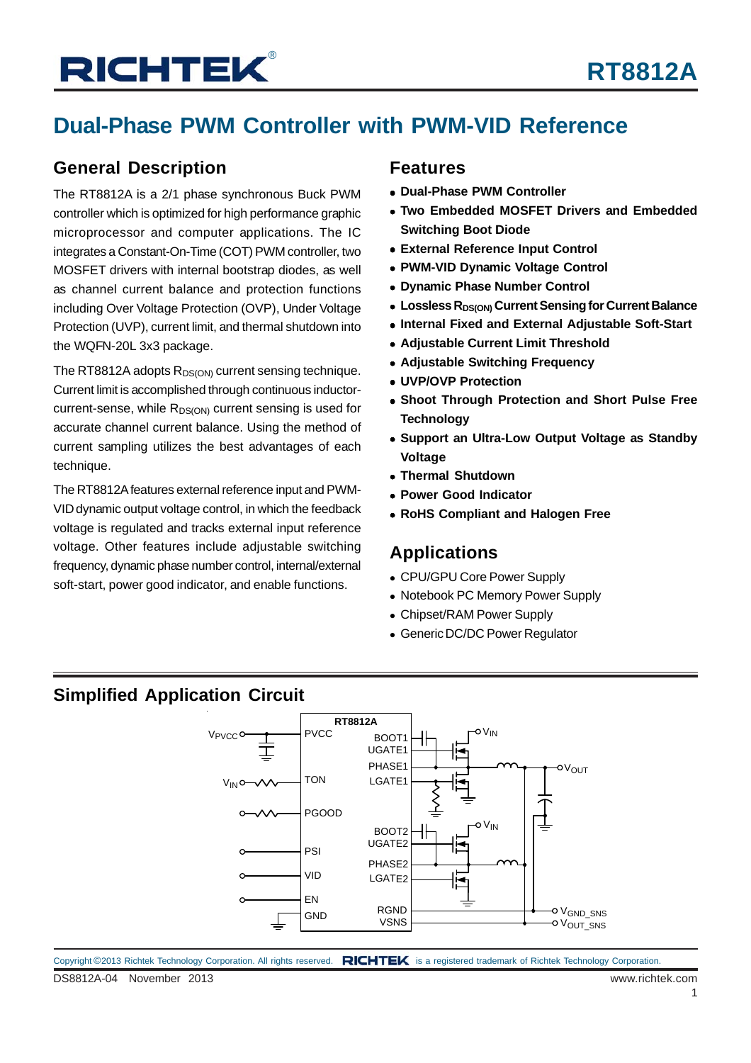## **Dual-Phase PWM Controller with PWM-VID Reference**

### **General Description**

The RT8812A is a 2/1 phase synchronous Buck PWM controller which is optimized for high performance graphic microprocessor and computer applications. The IC integrates a Constant-On-Time (COT) PWM controller, two MOSFET drivers with internal bootstrap diodes, as well as channel current balance and protection functions including Over Voltage Protection (OVP), Under Voltage Protection (UVP), current limit, and thermal shutdown into the WQFN-20L 3x3 package.

The RT8812A adopts  $R_{DS(ON)}$  current sensing technique. Current limit is accomplished through continuous inductorcurrent-sense, while  $R_{DS(ON)}$  current sensing is used for accurate channel current balance. Using the method of current sampling utilizes the best advantages of each technique.

The RT8812A features external reference input and PWM-VID dynamic output voltage control, in which the feedback voltage is regulated and tracks external input reference voltage. Other features include adjustable switching frequency, dynamic phase number control, internal/external soft-start, power good indicator, and enable functions.

#### **Features**

- **Dual-Phase PWM Controller**
- **Two Embedded MOSFET Drivers and Embedded Switching Boot Diode**
- **External Reference Input Control**
- **PWM-VID Dynamic Voltage Control**
- **Dynamic Phase Number Control**
- **EDDERS RDS(ON) Current Sensing for Current Balance**
- **Internal Fixed and External Adjustable Soft-Start**
- **Adjustable Current Limit Threshold**
- **Adjustable Switching Frequency**
- **UVP/OVP Protection**
- **Shoot Through Protection and Short Pulse Free Technology**
- **Support an Ultra-Low Output Voltage as Standby Voltage**
- **Thermal Shutdown**
- **Power Good Indicator**
- **RoHS Compliant and Halogen Free**

### **Applications**

- CPU/GPU Core Power Supply
- Notebook PC Memory Power Supply
- Chipset/RAM Power Supply
- Generic DC/DC Power Regulator

### **Simplified Application Circuit**

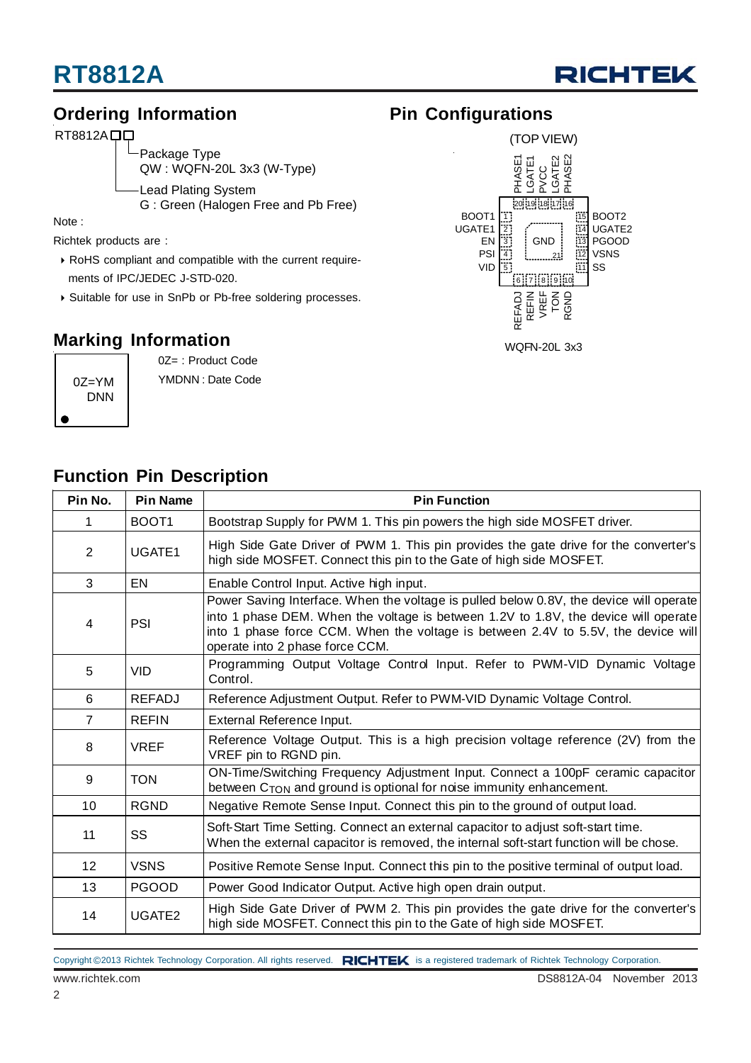

### **Ordering Information**

RT8812ADD

Package Type QW : WQFN-20L 3x3 (W-Type) Lead Plating System G : Green (Halogen Free and Pb Free)

Note :

Richtek products are :

- RoHS compliant and compatible with the current require ments of IPC/JEDEC J-STD-020.
- Suitable for use in SnPb or Pb-free soldering processes.

### **Marking Information**

0Z=YM DNN

0Z= : Product Code YMDNN : Date Code

### **Pin Configurations**



| Pin No.        | <b>Pin Name</b>    | <b>Pin Function</b>                                                                                                                                                                                                                                                                                   |  |  |  |
|----------------|--------------------|-------------------------------------------------------------------------------------------------------------------------------------------------------------------------------------------------------------------------------------------------------------------------------------------------------|--|--|--|
| 1              | BOOT <sub>1</sub>  | Bootstrap Supply for PWM 1. This pin powers the high side MOSFET driver.                                                                                                                                                                                                                              |  |  |  |
| 2              | UGATE1             | High Side Gate Driver of PWM 1. This pin provides the gate drive for the converter's<br>high side MOSFET. Connect this pin to the Gate of high side MOSFET.                                                                                                                                           |  |  |  |
| 3              | EN                 | Enable Control Input. Active high input.                                                                                                                                                                                                                                                              |  |  |  |
| 4              | PSI                | Power Saving Interface. When the voltage is pulled below 0.8V, the device will operate<br>into 1 phase DEM. When the voltage is between 1.2V to 1.8V, the device will operate<br>into 1 phase force CCM. When the voltage is between 2.4V to 5.5V, the device will<br>operate into 2 phase force CCM. |  |  |  |
| 5              | <b>VID</b>         | Programming Output Voltage Control Input. Refer to PWM-VID Dynamic Voltage<br>Control.                                                                                                                                                                                                                |  |  |  |
| 6              | <b>REFADJ</b>      | Reference Adjustment Output. Refer to PWM-VID Dynamic Voltage Control.                                                                                                                                                                                                                                |  |  |  |
| $\overline{7}$ | <b>REFIN</b>       | External Reference Input.                                                                                                                                                                                                                                                                             |  |  |  |
| 8              | <b>VREF</b>        | Reference Voltage Output. This is a high precision voltage reference (2V) from the<br>VREF pin to RGND pin.                                                                                                                                                                                           |  |  |  |
| 9              | <b>TON</b>         | ON-Time/Switching Frequency Adjustment Input. Connect a 100pF ceramic capacitor<br>between C <sub>TON</sub> and ground is optional for noise immunity enhancement.                                                                                                                                    |  |  |  |
| 10             | <b>RGND</b>        | Negative Remote Sense Input. Connect this pin to the ground of output load.                                                                                                                                                                                                                           |  |  |  |
| 11             | SS                 | Soft-Start Time Setting. Connect an external capacitor to adjust soft-start time.<br>When the external capacitor is removed, the internal soft-start function will be chose.                                                                                                                          |  |  |  |
| 12             | <b>VSNS</b>        | Positive Remote Sense Input. Connect this pin to the positive terminal of output load.                                                                                                                                                                                                                |  |  |  |
| 13             | <b>PGOOD</b>       | Power Good Indicator Output. Active high open drain output.                                                                                                                                                                                                                                           |  |  |  |
| 14             | UGATE <sub>2</sub> | High Side Gate Driver of PWM 2. This pin provides the gate drive for the converter's<br>high side MOSFET. Connect this pin to the Gate of high side MOSFET.                                                                                                                                           |  |  |  |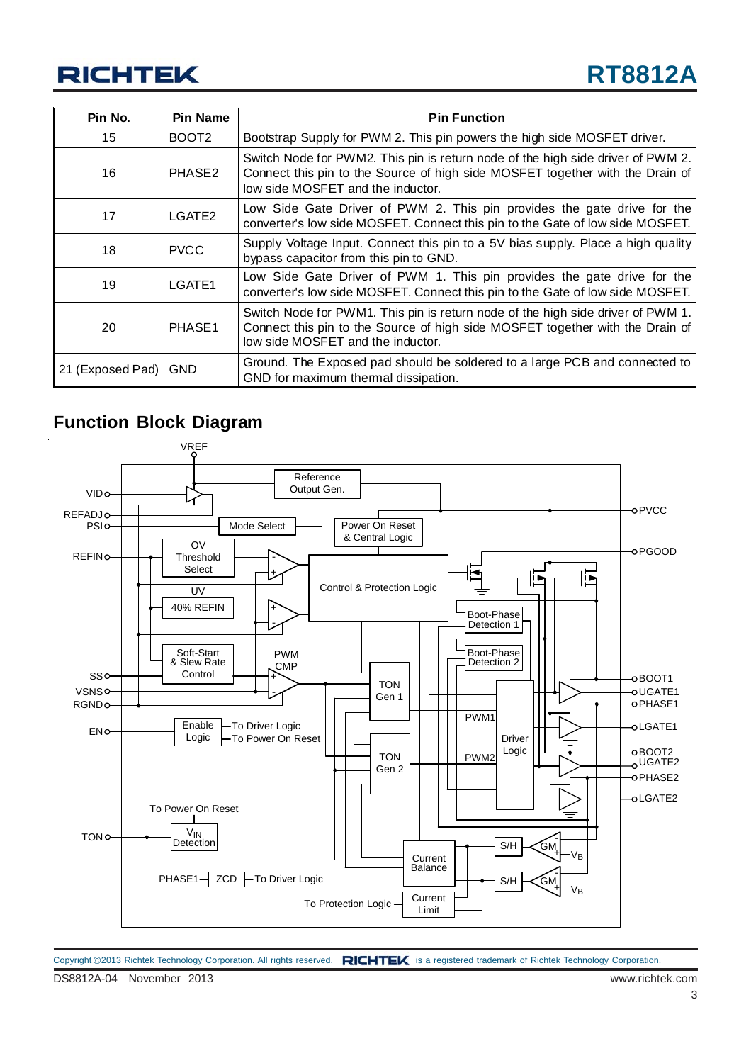| Pin No.          | Pin Name           | <b>Pin Function</b>                                                                                                                                                                                   |
|------------------|--------------------|-------------------------------------------------------------------------------------------------------------------------------------------------------------------------------------------------------|
| 15               | BOOT <sub>2</sub>  | Bootstrap Supply for PWM 2. This pin powers the high side MOSFET driver.                                                                                                                              |
| 16               | PHASE <sub>2</sub> | Switch Node for PWM2. This pin is return node of the high side driver of PWM 2.<br>Connect this pin to the Source of high side MOSFET together with the Drain of<br>low side MOSFET and the inductor. |
| 17               | LGATE <sub>2</sub> | Low Side Gate Driver of PWM 2. This pin provides the gate drive for the<br>converter's low side MOSFET. Connect this pin to the Gate of low side MOSFET.                                              |
| 18               | <b>PVCC</b>        | Supply Voltage Input. Connect this pin to a 5V bias supply. Place a high quality<br>bypass capacitor from this pin to GND.                                                                            |
| 19               | LGATE1             | Low Side Gate Driver of PWM 1. This pin provides the gate drive for the<br>converter's low side MOSFET. Connect this pin to the Gate of low side MOSFET.                                              |
| 20               | PHASE <sub>1</sub> | Switch Node for PWM1. This pin is return node of the high side driver of PWM 1.<br>Connect this pin to the Source of high side MOSFET together with the Drain of<br>low side MOSFET and the inductor. |
| 21 (Exposed Pad) | <b>GND</b>         | Ground. The Exposed pad should be soldered to a large PCB and connected to<br>GND for maximum thermal dissipation.                                                                                    |

### **Function Block Diagram**



DS8812A-04 November 2013 www.richtek.com Copyright ©2013 Richtek Technology Corporation. All rights reserved. RICHTEK is a registered trademark of Richtek Technology Corporation.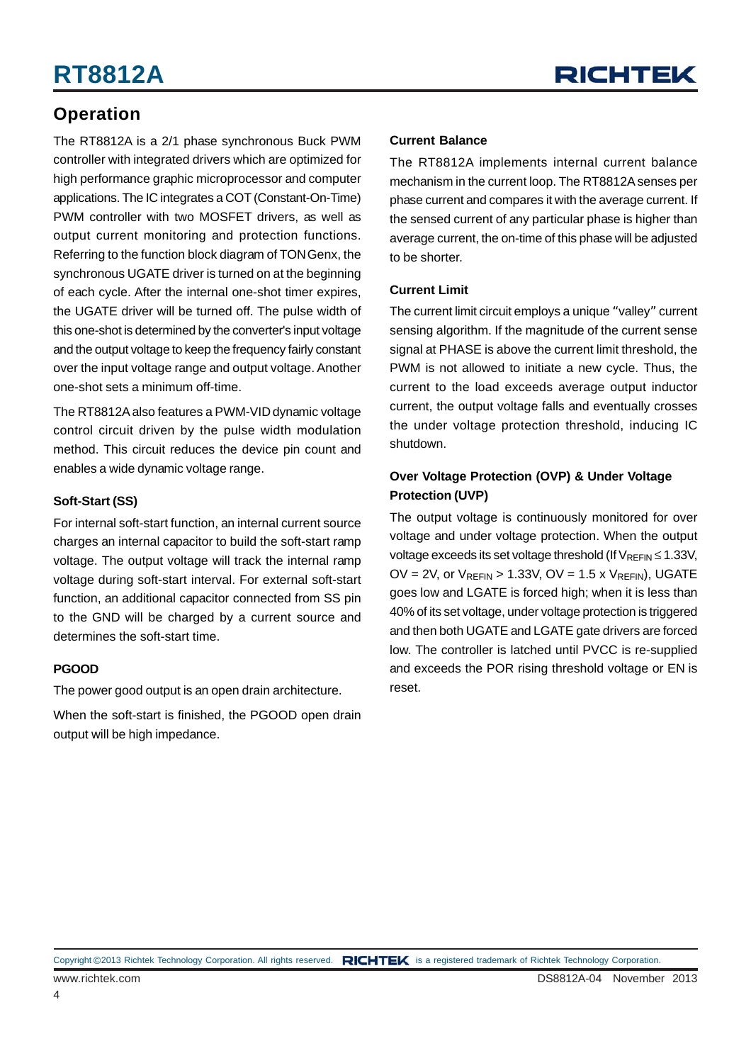### **Operation**

The RT8812A is a 2/1 phase synchronous Buck PWM controller with integrated drivers which are optimized for high performance graphic microprocessor and computer applications. The IC integrates a COT (Constant-On-Time) PWM controller with two MOSFET drivers, as well as output current monitoring and protection functions. Referring to the function block diagram of TON Genx, the synchronous UGATE driver is turned on at the beginning of each cycle. After the internal one-shot timer expires, the UGATE driver will be turned off. The pulse width of this one-shot is determined by the converter's input voltage and the output voltage to keep the frequency fairly constant over the input voltage range and output voltage. Another one-shot sets a minimum off-time.

The RT8812A also features a PWM-VID dynamic voltage control circuit driven by the pulse width modulation method. This circuit reduces the device pin count and enables a wide dynamic voltage range.

#### **Soft-Start (SS)**

For internal soft-start function, an internal current source charges an internal capacitor to build the soft-start ramp voltage. The output voltage will track the internal ramp voltage during soft-start interval. For external soft-start function, an additional capacitor connected from SS pin to the GND will be charged by a current source and determines the soft-start time.

#### **PGOOD**

The power good output is an open drain architecture.

When the soft-start is finished, the PGOOD open drain output will be high impedance.

#### **Current Balance**

The RT8812A implements internal current balance mechanism in the current loop. The RT8812A senses per phase current and compares it with the average current. If the sensed current of any particular phase is higher than average current, the on-time of this phase will be adjusted to be shorter.

#### **Current Limit**

The current limit circuit employs a unique "valley" current sensing algorithm. If the magnitude of the current sense signal at PHASE is above the current limit threshold, the PWM is not allowed to initiate a new cycle. Thus, the current to the load exceeds average output inductor current, the output voltage falls and eventually crosses the under voltage protection threshold, inducing IC shutdown.

#### **Over Voltage Protection (OVP) & Under Voltage Protection (UVP)**

The output voltage is continuously monitored for over voltage and under voltage protection. When the output voltage exceeds its set voltage threshold (If  $V_{REFIN} \le 1.33V$ ,  $OV = 2V$ , or  $V_{RFFIN} > 1.33V$ ,  $OV = 1.5 \times V_{RFFIN}$ , UGATE goes low and LGATE is forced high; when it is less than 40% of its set voltage, under voltage protection is triggered and then both UGATE and LGATE gate drivers are forced low. The controller is latched until PVCC is re-supplied and exceeds the POR rising threshold voltage or EN is reset.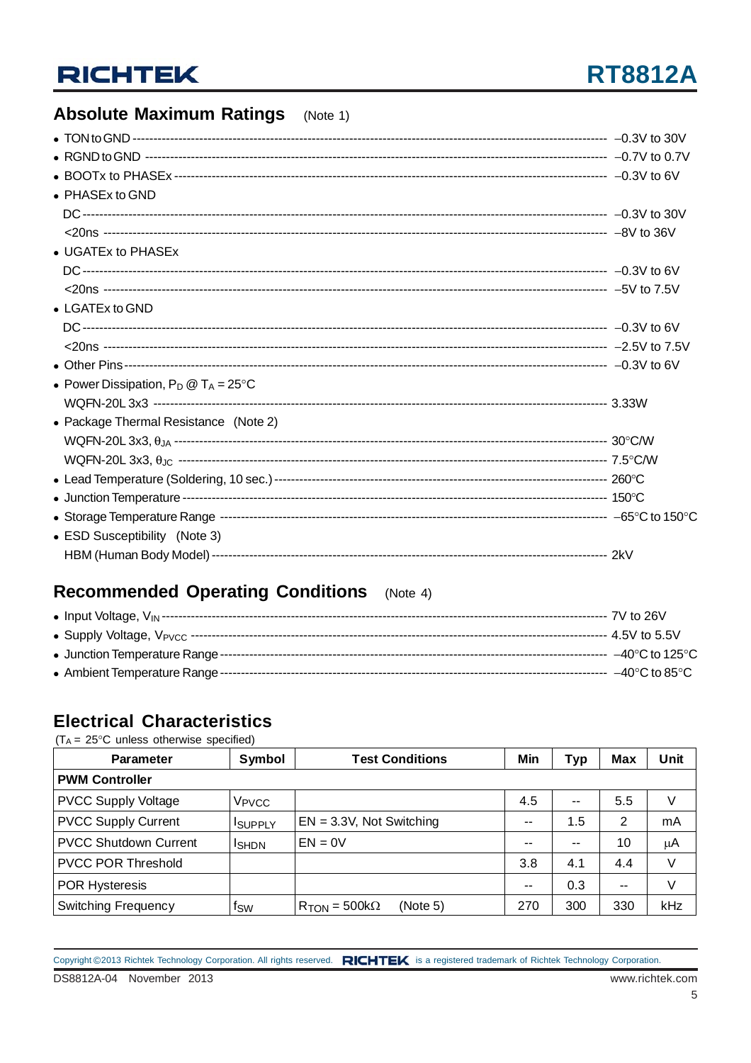### **Absolute Maximum Ratings** (Note 1)

| • PHASEx to GND                                |  |
|------------------------------------------------|--|
|                                                |  |
|                                                |  |
| • UGATEx to PHASEx                             |  |
|                                                |  |
|                                                |  |
| $\bullet$ LGATEx to GND                        |  |
|                                                |  |
|                                                |  |
|                                                |  |
| • Power Dissipation, $P_D @ T_A = 25^{\circ}C$ |  |
|                                                |  |
| • Package Thermal Resistance (Note 2)          |  |
|                                                |  |
|                                                |  |
|                                                |  |
|                                                |  |
|                                                |  |
| • ESD Susceptibility (Note 3)                  |  |
|                                                |  |

### **Recommended Operating Conditions** (Note 4)

### **Electrical Characteristics**

 $(T_A = 25^{\circ}C$  unless otherwise specified)

| <b>Parameter</b>             | Symbol            | <b>Test Conditions</b>                            | Min | Typ   | <b>Max</b> | Unit |  |  |
|------------------------------|-------------------|---------------------------------------------------|-----|-------|------------|------|--|--|
| <b>PWM Controller</b>        |                   |                                                   |     |       |            |      |  |  |
| <b>PVCC Supply Voltage</b>   | V <sub>PVCC</sub> |                                                   | 4.5 | $- -$ | 5.5        | V    |  |  |
| <b>PVCC Supply Current</b>   | <b>I</b> SUPPLY   | $EN = 3.3V$ , Not Switching                       | --  | 1.5   | 2          | mA   |  |  |
| <b>PVCC Shutdown Current</b> | <b>I</b> SHDN     | $EN = 0V$                                         | --  | --    | 10         | μA   |  |  |
| <b>PVCC POR Threshold</b>    |                   |                                                   | 3.8 | 4.1   | 4.4        | V    |  |  |
| <b>POR Hysteresis</b>        |                   |                                                   | --  | 0.3   | --         | V    |  |  |
| <b>Switching Frequency</b>   | fsw               | (Note 5)<br>$R_{\text{TON}} = 500 \text{k}\Omega$ | 270 | 300   | 330        | kHz  |  |  |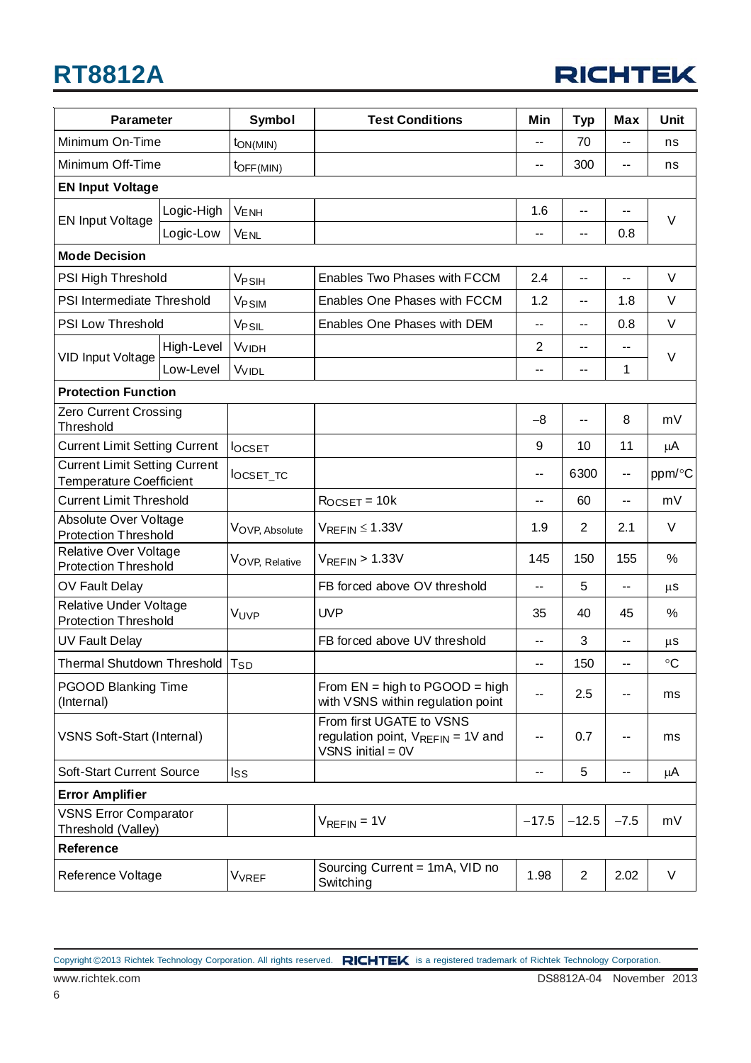## **RT8812A**



| <b>Parameter</b>                                                       |            | Symbol                       | <b>Test Conditions</b>                                                                    | Min     | <b>Typ</b>               | <b>Max</b> | Unit            |  |
|------------------------------------------------------------------------|------------|------------------------------|-------------------------------------------------------------------------------------------|---------|--------------------------|------------|-----------------|--|
| Minimum On-Time                                                        |            | $\mathsf{ton}(\mathsf{MIN})$ |                                                                                           | --      | 70                       | $-$        | ns              |  |
| Minimum Off-Time                                                       |            | $t_{\text{OFF(MIN)}}$        |                                                                                           | --      | 300                      | --         | ns              |  |
| <b>EN Input Voltage</b>                                                |            |                              |                                                                                           |         |                          |            |                 |  |
|                                                                        | Logic-High | <b>VENH</b>                  |                                                                                           | 1.6     | --                       | --         |                 |  |
| <b>EN Input Voltage</b>                                                | Logic-Low  | <b>VENL</b>                  |                                                                                           | $-$     | $\overline{\phantom{a}}$ | 0.8        | $\vee$          |  |
| <b>Mode Decision</b>                                                   |            |                              |                                                                                           |         |                          |            |                 |  |
| PSI High Threshold                                                     |            | V <sub>PSIH</sub>            | Enables Two Phases with FCCM                                                              | 2.4     | $\overline{\phantom{a}}$ | $-$        | V               |  |
| PSI Intermediate Threshold                                             |            | V <sub>PSIM</sub>            | Enables One Phases with FCCM                                                              | 1.2     | $-$                      | 1.8        | V               |  |
| PSI Low Threshold                                                      |            | V <sub>PSIL</sub>            | Enables One Phases with DEM                                                               | $-$     | $-$                      | 0.8        | $\vee$          |  |
|                                                                        | High-Level | <b>V<sub>VIDH</sub></b>      |                                                                                           | 2       | $-$                      | $-$        |                 |  |
| <b>VID Input Voltage</b>                                               | Low-Level  | <b>VVIDL</b>                 |                                                                                           | --      | $\overline{\phantom{a}}$ | 1          | V               |  |
| <b>Protection Function</b>                                             |            |                              |                                                                                           |         |                          |            |                 |  |
| Zero Current Crossing<br>Threshold                                     |            |                              |                                                                                           | $-8$    | --                       | 8          | mV              |  |
| <b>Current Limit Setting Current</b>                                   |            | <b>locsET</b>                |                                                                                           | 9       | 10                       | 11         | μA              |  |
| <b>Current Limit Setting Current</b><br><b>Temperature Coefficient</b> |            | locset_tc                    |                                                                                           | --      | 6300                     | --         | ppm/°C          |  |
| <b>Current Limit Threshold</b>                                         |            |                              | $R$ <sub>OCSET</sub> = 10 $k$                                                             | --      | 60                       | --         | mV              |  |
| Absolute Over Voltage<br><b>Protection Threshold</b>                   |            | VOVP, Absolute               | $V_{REFIN} \leq 1.33V$                                                                    | 1.9     | 2                        | 2.1        | $\vee$          |  |
| Relative Over Voltage<br><b>Protection Threshold</b>                   |            | VOVP, Relative               | $V_{REFIN}$ > 1.33V                                                                       | 145     | 150                      | 155        | %               |  |
| OV Fault Delay                                                         |            |                              | FB forced above OV threshold                                                              | -−      | 5                        | --         | $\mu$ S         |  |
| <b>Relative Under Voltage</b><br><b>Protection Threshold</b>           |            | VUVP                         | <b>UVP</b>                                                                                | 35      | 40                       | 45         | %               |  |
| <b>UV Fault Delay</b>                                                  |            |                              | FB forced above UV threshold                                                              | $-$     | 3                        | --         | $\mu$ S         |  |
| Thermal Shutdown Threshold   T <sub>SD</sub>                           |            |                              |                                                                                           | --      | 150                      | --         | $\rm ^{\circ}C$ |  |
| <b>PGOOD Blanking Time</b><br>(Internal)                               |            |                              | From $EN = high to PGOOD = high$<br>with VSNS within regulation point                     | --      | 2.5                      | --         | ms              |  |
| <b>VSNS Soft-Start (Internal)</b>                                      |            |                              | From first UGATE to VSNS<br>regulation point, $V_{REFIN} = 1V$ and<br>VSNS initial = $0V$ | $-$     | 0.7                      | ۰.         | ms              |  |
| <b>Soft-Start Current Source</b>                                       |            | $\mathsf{lss}$               |                                                                                           | --      | 5                        | --         | μA              |  |
| <b>Error Amplifier</b>                                                 |            |                              |                                                                                           |         |                          |            |                 |  |
| <b>VSNS Error Comparator</b><br>Threshold (Valley)                     |            |                              | $V_{REFIN} = 1V$                                                                          | $-17.5$ | $-12.5$                  | $-7.5$     | mV              |  |
| Reference                                                              |            |                              |                                                                                           |         |                          |            |                 |  |
| Reference Voltage                                                      |            | <b>V<sub>VREF</sub></b>      | Sourcing Current = 1mA, VID no<br>Switching                                               | 1.98    | $\overline{2}$           | 2.02       | V               |  |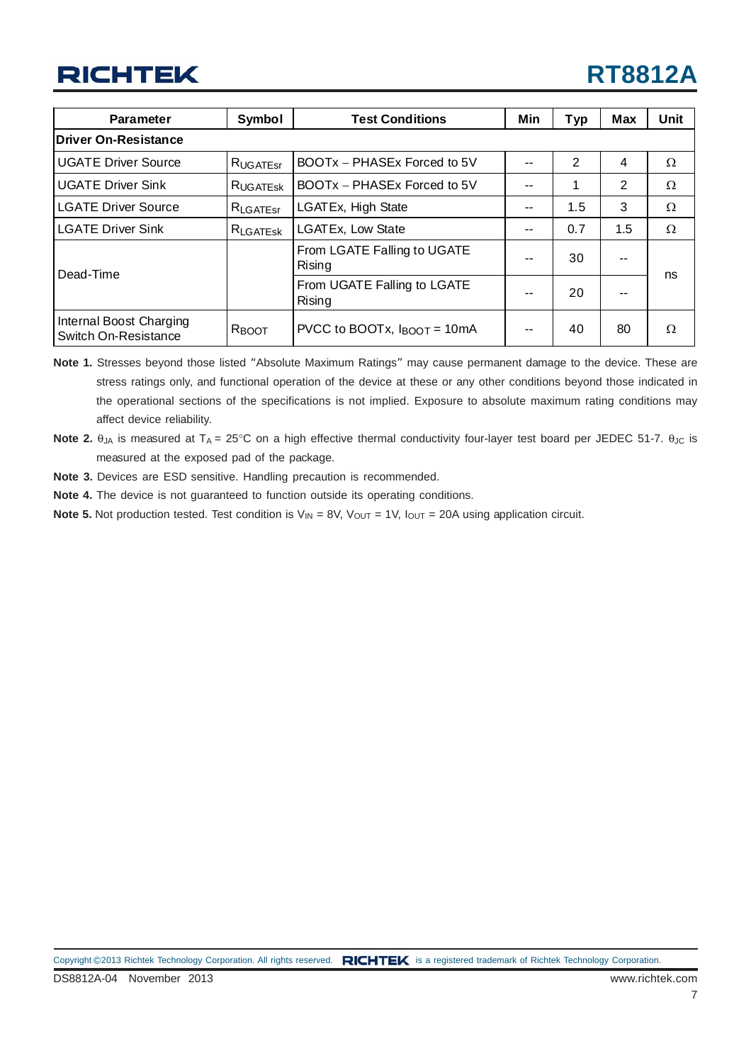| <b>Test Conditions</b><br><b>Parameter</b><br>Symbol |                      | Min                                             | <b>Typ</b> | <b>Max</b> | Unit |          |
|------------------------------------------------------|----------------------|-------------------------------------------------|------------|------------|------|----------|
| Driver On-Resistance                                 |                      |                                                 |            |            |      |          |
| <b>UGATE Driver Source</b>                           | <b>RUGATEST</b>      | BOOTx - PHASEx Forced to 5V                     | --         | 2          | 4    | Ω        |
| <b>UGATE Driver Sink</b>                             | RUGATESK             | BOOTx - PHASEx Forced to 5V                     |            |            | 2    | Ω        |
| <b>LGATE Driver Source</b>                           | $R_{\text{LGATEST}}$ | LGATEx, High State                              | --         | 1.5        | 3    | Ω        |
| <b>LGATE Driver Sink</b>                             | RLGATESK             | <b>LGATEx, Low State</b>                        | --         | 0.7        | 1.5  | $\Omega$ |
| Dead-Time                                            |                      | From LGATE Falling to UGATE<br>Rising           | --         | 30         | --   | ns       |
|                                                      |                      | From UGATE Falling to LGATE<br>Rising           | --         | 20         | --   |          |
| Internal Boost Charging<br>Switch On-Resistance      | R <sub>BOOT</sub>    | PVCC to BOOTx, $I_{\text{BOOT}} = 10 \text{mA}$ | --         | 40         | 80   | Ω        |

**Note 1.** Stresses beyond those listed "Absolute Maximum Ratings" may cause permanent damage to the device. These are stress ratings only, and functional operation of the device at these or any other conditions beyond those indicated in the operational sections of the specifications is not implied. Exposure to absolute maximum rating conditions may affect device reliability.

- **Note 2.** θ<sub>JA</sub> is measured at T<sub>A</sub> = 25°C on a high effective thermal conductivity four-layer test board per JEDEC 51-7. θ<sub>JC</sub> is measured at the exposed pad of the package.
- **Note 3.** Devices are ESD sensitive. Handling precaution is recommended.
- **Note 4.** The device is not guaranteed to function outside its operating conditions.
- **Note 5.** Not production tested. Test condition is  $V_{IN} = 8V$ ,  $V_{OUT} = 1V$ ,  $I_{OUT} = 20A$  using application circuit.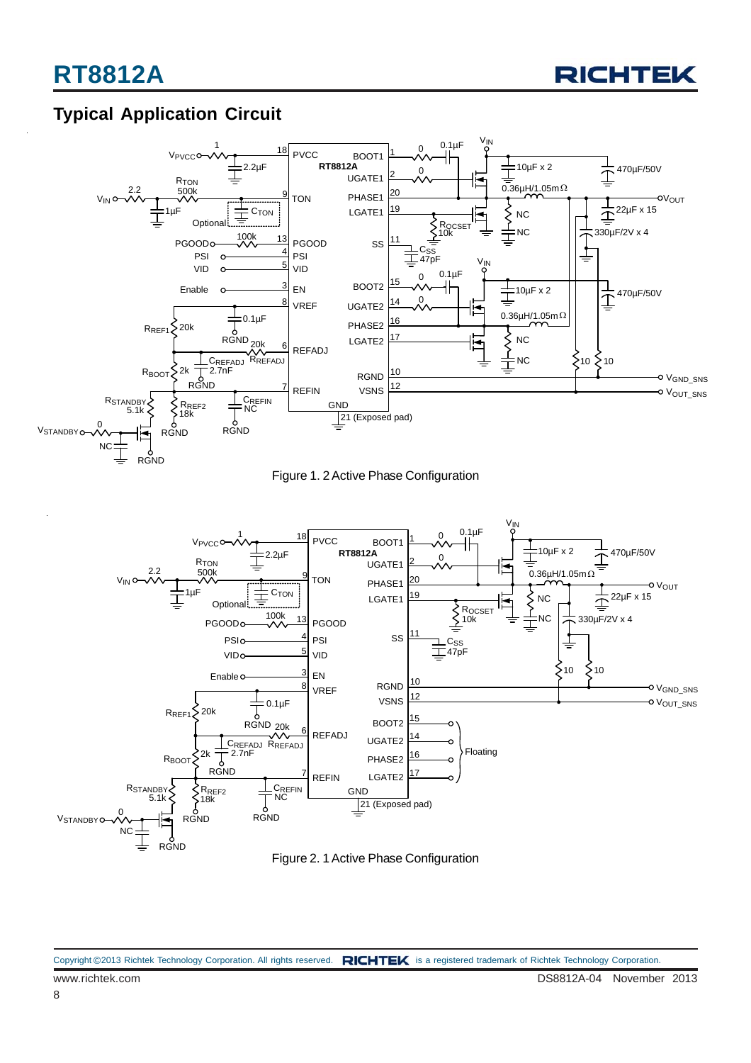

### **Typical Application Circuit**







Figure 2. 1 Active Phase Configuration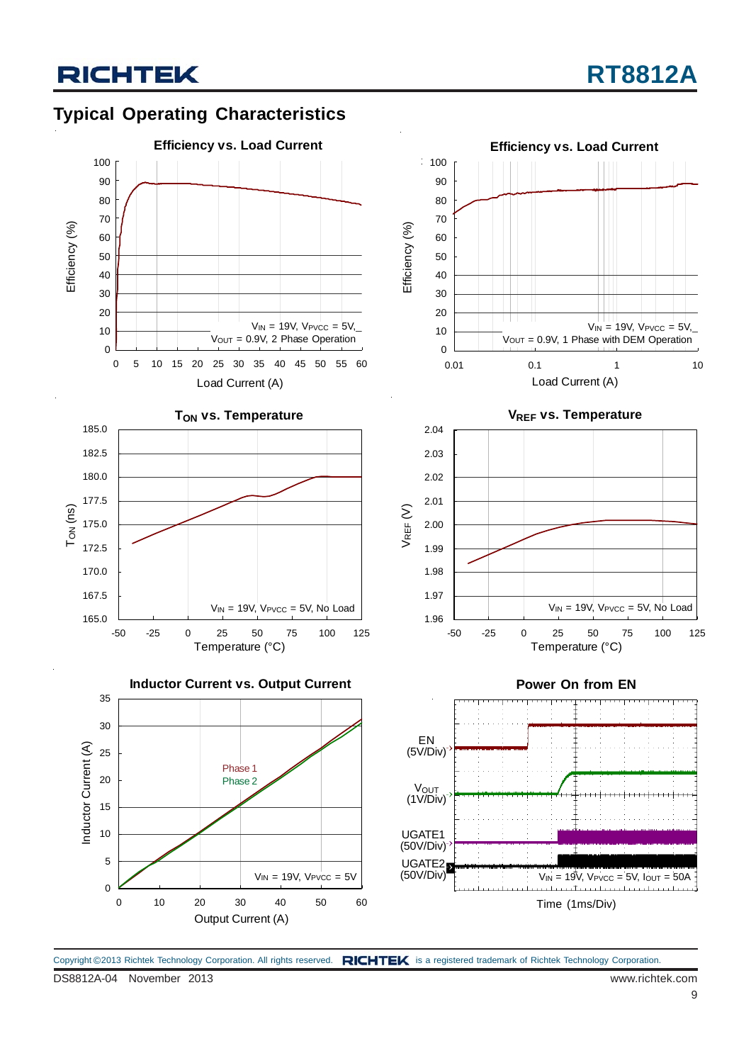



Copyright ©2013 Richtek Technology Corporation. All rights reserved. RICHTEK is a registered trademark of Richtek Technology Corporation.

DS8812A-04 November 2013 www.richtek.com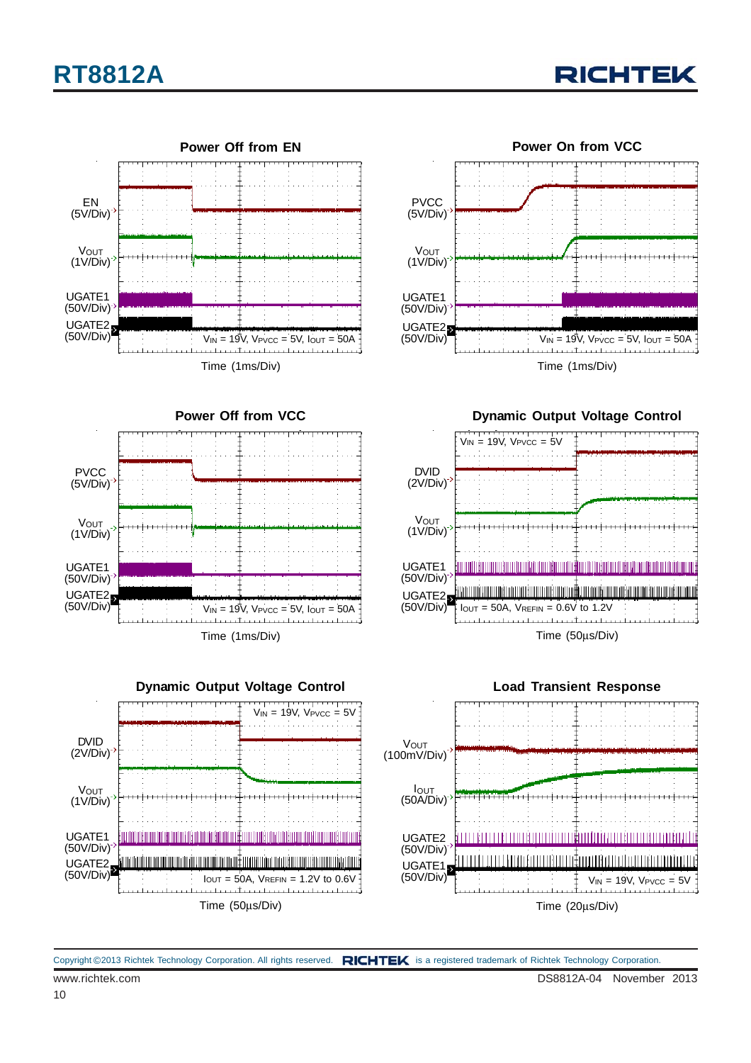





**Power Off from VCC**



**Dynamic Output Voltage Control**









Time (1ms/Div)

 $V_{IN} = 19V$ ,  $V_{PVCC} = 5V$ ,  $I_{OUT} = 50A$ 

Copyright ©2013 Richtek Technology Corporation. All rights reserved. RICHTEK is a registered trademark of Richtek Technology Corporation.

UGATE1 (50V/Div)

UGATE2 (50V/Div)

**PVCC** (5V/Div)

**V**OUT (1V/Div)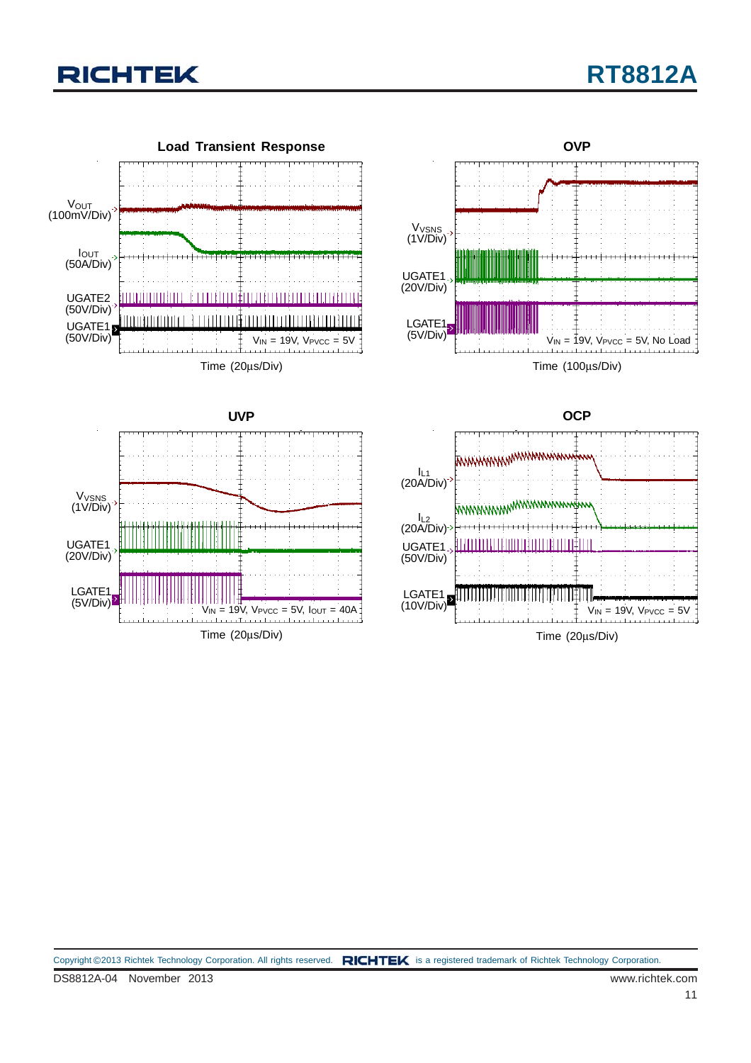

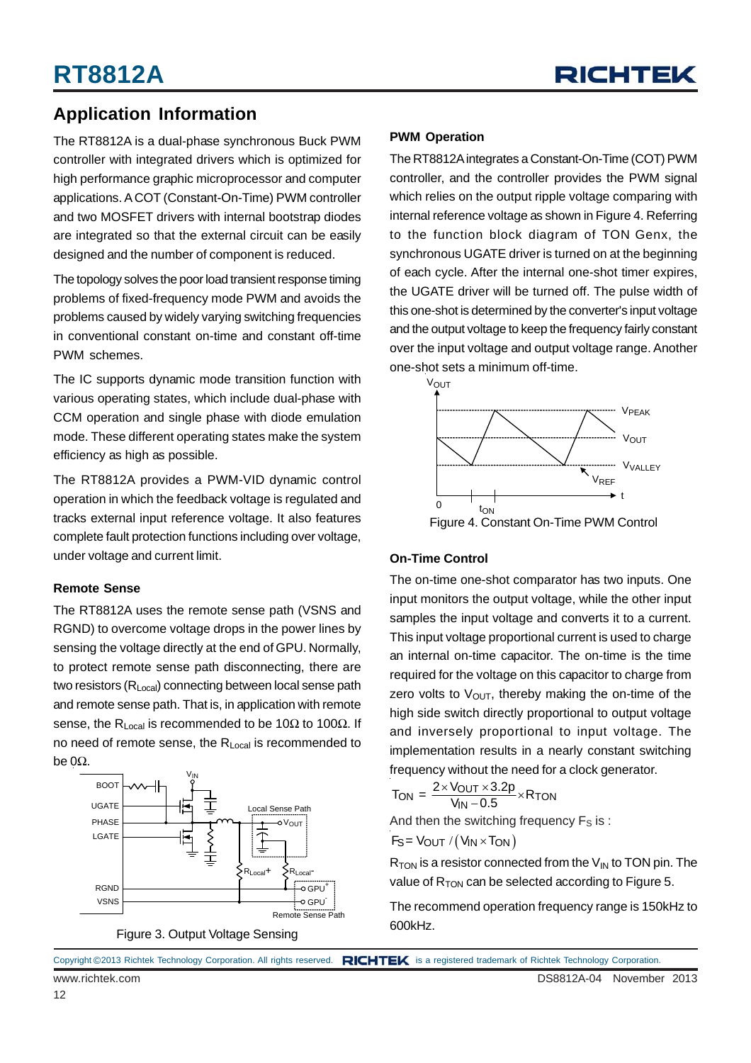

### **Application Information**

The RT8812A is a dual-phase synchronous Buck PWM controller with integrated drivers which is optimized for high performance graphic microprocessor and computer applications. A COT (Constant-On-Time) PWM controller and two MOSFET drivers with internal bootstrap diodes are integrated so that the external circuit can be easily designed and the number of component is reduced.

The topology solves the poor load transient response timing problems of fixed-frequency mode PWM and avoids the problems caused by widely varying switching frequencies in conventional constant on-time and constant off-time PWM schemes.

The IC supports dynamic mode transition function with various operating states, which include dual-phase with CCM operation and single phase with diode emulation mode. These different operating states make the system efficiency as high as possible.

The RT8812A provides a PWM-VID dynamic control operation in which the feedback voltage is regulated and tracks external input reference voltage. It also features complete fault protection functions including over voltage, under voltage and current limit.

#### **Remote Sense**

The RT8812A uses the remote sense path (VSNS and RGND) to overcome voltage drops in the power lines by sensing the voltage directly at the end of GPU. Normally, to protect remote sense path disconnecting, there are two resistors (R<sub>Local</sub>) connecting between local sense path and remote sense path. That is, in application with remote sense, the R<sub>Local</sub> is recommended to be 10 $\Omega$  to 100 $\Omega$ . If no need of remote sense, the R<sub>Local</sub> is recommended to be  $0Ω$ .





#### **PWM Operation**

The RT8812A integrates a Constant-On-Time (COT) PWM controller, and the controller provides the PWM signal which relies on the output ripple voltage comparing with internal reference voltage as shown in Figure 4. Referring to the function block diagram of TON Genx, the synchronous UGATE driver is turned on at the beginning of each cycle. After the internal one-shot timer expires, the UGATE driver will be turned off. The pulse width of this one-shot is determined by the converter's input voltage and the output voltage to keep the frequency fairly constant over the input voltage and output voltage range. Another one-shot sets a minimum off-time.



#### **On-Time Control**

The on-time one-shot comparator has two inputs. One input monitors the output voltage, while the other input samples the input voltage and converts it to a current. This input voltage proportional current is used to charge an internal on-time capacitor. The on-time is the time required for the voltage on this capacitor to charge from zero volts to  $V_{\text{OUT}}$ , thereby making the on-time of the high side switch directly proportional to output voltage and inversely proportional to input voltage. The implementation results in a nearly constant switching frequency without the need for a clock generator.

$$
T_{ON} = \frac{2 \times V_{OUT} \times 3.2p}{V_{IN} - 0.5} \times R_{TON}
$$

And then the switching frequency  $F_S$  is :

$$
F_S = V_{OUT} / (V_{IN} \times T_{ON})
$$

 $R_{TON}$  is a resistor connected from the  $V_{IN}$  to TON pin. The value of  $R_{TON}$  can be selected according to Figure 5.

The recommend operation frequency range is 150kHz to 600kHz.

Copyright ©2013 Richtek Technology Corporation. All rights reserved. RICHTEK is a registered trademark of Richtek Technology Corporation.

12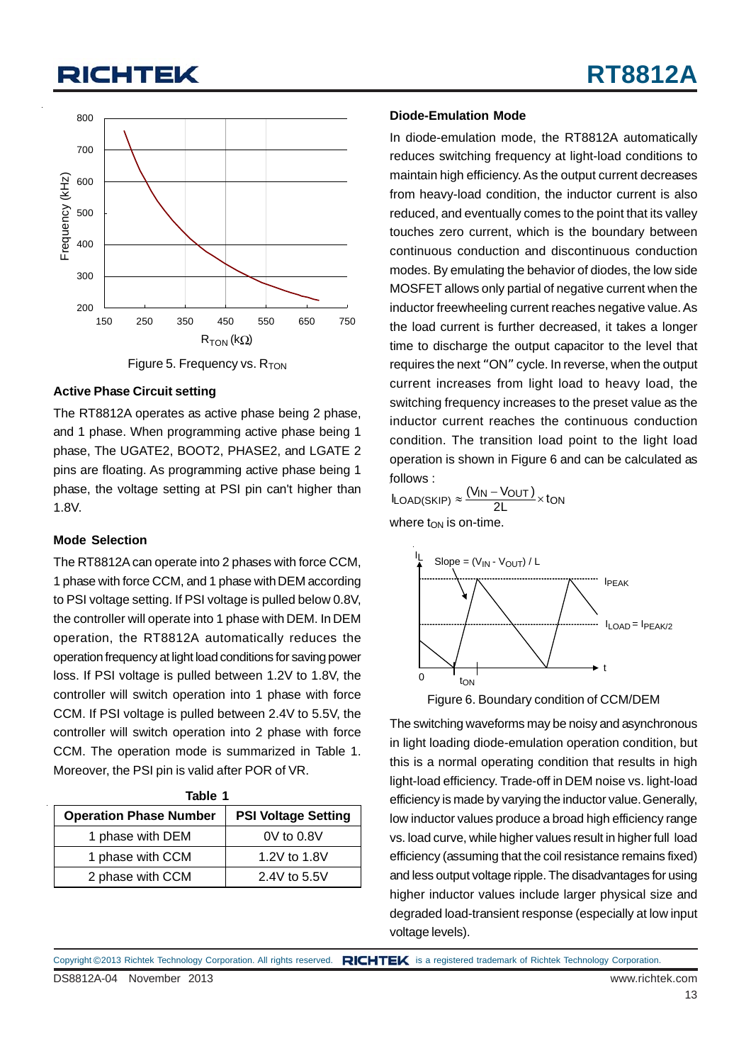

Figure 5. Frequency vs.  $R_{TON}$ 

#### **Active Phase Circuit setting**

The RT8812A operates as active phase being 2 phase, and 1 phase. When programming active phase being 1 phase, The UGATE2, BOOT2, PHASE2, and LGATE 2 pins are floating. As programming active phase being 1 phase, the voltage setting at PSI pin can't higher than 1.8V.

#### **Mode Selection**

The RT8812A can operate into 2 phases with force CCM, 1 phase with force CCM, and 1 phase with DEM according to PSI voltage setting. If PSI voltage is pulled below 0.8V, the controller will operate into 1 phase with DEM. In DEM operation, the RT8812A automatically reduces the operation frequency at light load conditions for saving power loss. If PSI voltage is pulled between 1.2V to 1.8V, the controller will switch operation into 1 phase with force CCM. If PSI voltage is pulled between 2.4V to 5.5V, the controller will switch operation into 2 phase with force CCM. The operation mode is summarized in Table 1. Moreover, the PSI pin is valid after POR of VR.

| Table 1                       |                            |  |  |  |  |  |
|-------------------------------|----------------------------|--|--|--|--|--|
| <b>Operation Phase Number</b> | <b>PSI Voltage Setting</b> |  |  |  |  |  |
| 1 phase with DEM              | $0V$ to $0.8V$             |  |  |  |  |  |
| 1 phase with CCM              | 1.2V to 1.8V               |  |  |  |  |  |
| 2 phase with CCM              | 2.4V to 5.5V               |  |  |  |  |  |

#### **Diode-Emulation Mode**

In diode-emulation mode, the RT8812A automatically reduces switching frequency at light-load conditions to maintain high efficiency. As the output current decreases from heavy-load condition, the inductor current is also reduced, and eventually comes to the point that its valley touches zero current, which is the boundary between continuous conduction and discontinuous conduction modes. By emulating the behavior of diodes, the low side MOSFET allows only partial of negative current when the inductor freewheeling current reaches negative value. As the load current is further decreased, it takes a longer time to discharge the output capacitor to the level that requires the next "ON" cycle. In reverse, when the output current increases from light load to heavy load, the switching frequency increases to the preset value as the inductor current reaches the continuous conduction condition. The transition load point to the light load operation is shown in Figure 6 and can be calculated as follows :

 $I_{\text{LOAD(SKIP)}} \approx \frac{(V_{\text{IN}} - V_{\text{OUT}})}{2L} \times \text{ton}$ where  $t_{ON}$  is on-time.



Figure 6. Boundary condition of CCM/DEM

The switching waveforms may be noisy and asynchronous in light loading diode-emulation operation condition, but this is a normal operating condition that results in high light-load efficiency. Trade-off in DEM noise vs. light-load efficiency is made by varying the inductor value. Generally, low inductor values produce a broad high efficiency range vs. load curve, while higher values result in higher full load efficiency (assuming that the coil resistance remains fixed) and less output voltage ripple. The disadvantages for using higher inductor values include larger physical size and degraded load-transient response (especially at low input voltage levels).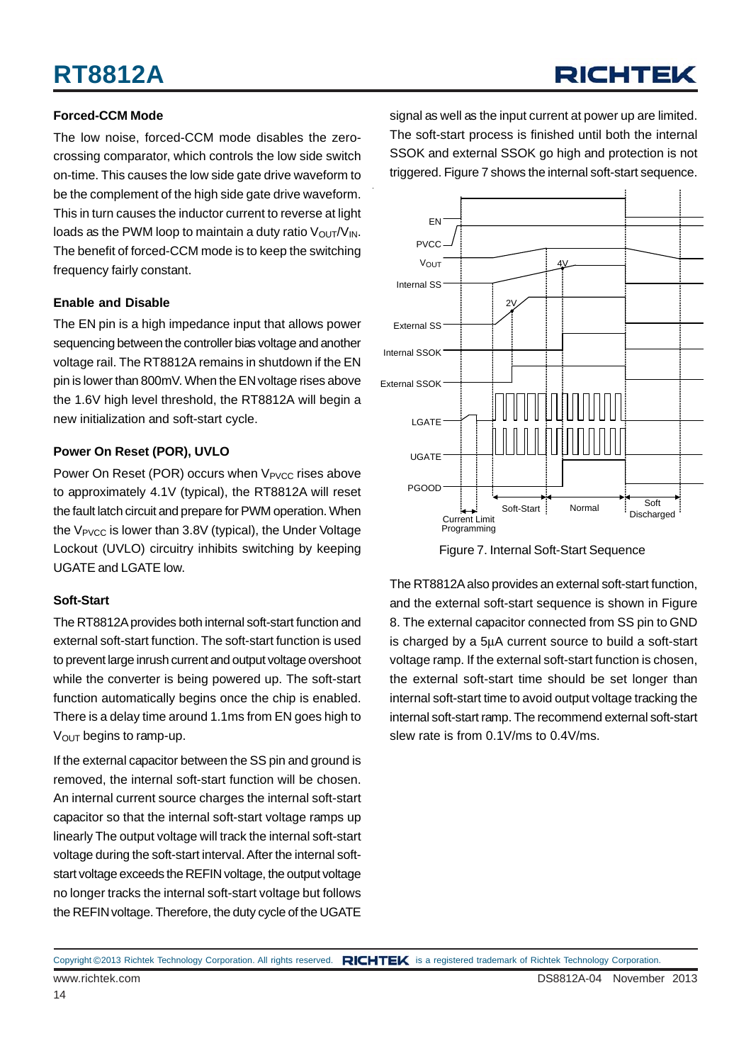## **RT8812A**

## RICHTEK

#### **Forced-CCM Mode**

The low noise, forced-CCM mode disables the zerocrossing comparator, which controls the low side switch on-time. This causes the low side gate drive waveform to be the complement of the high side gate drive waveform. This in turn causes the inductor current to reverse at light loads as the PWM loop to maintain a duty ratio  $V_{\text{OUT}}/V_{\text{IN}}$ . The benefit of forced-CCM mode is to keep the switching frequency fairly constant.

#### **Enable and Disable**

The EN pin is a high impedance input that allows power sequencing between the controller bias voltage and another voltage rail. The RT8812A remains in shutdown if the EN pin is lower than 800mV. When the EN voltage rises above the 1.6V high level threshold, the RT8812A will begin a new initialization and soft-start cycle.

#### **Power On Reset (POR), UVLO**

Power On Reset (POR) occurs when V<sub>PVCC</sub> rises above to approximately 4.1V (typical), the RT8812A will reset the fault latch circuit and prepare for PWM operation. When the  $V_{\text{PVCC}}$  is lower than 3.8V (typical), the Under Voltage Lockout (UVLO) circuitry inhibits switching by keeping UGATE and LGATE low.

#### **Soft-Start**

The RT8812A provides both internal soft-start function and external soft-start function. The soft-start function is used to prevent large inrush current and output voltage overshoot while the converter is being powered up. The soft-start function automatically begins once the chip is enabled. There is a delay time around 1.1ms from EN goes high to  $V<sub>OUT</sub>$  begins to ramp-up.

If the external capacitor between the SS pin and ground is removed, the internal soft-start function will be chosen. An internal current source charges the internal soft-start capacitor so that the internal soft-start voltage ramps up linearly The output voltage will track the internal soft-start voltage during the soft-start interval. After the internal softstart voltage exceeds the REFIN voltage, the output voltage no longer tracks the internal soft-start voltage but follows the REFIN voltage. Therefore, the duty cycle of the UGATE

signal as well as the input current at power up are limited. The soft-start process is finished until both the internal SSOK and external SSOK go high and protection is not triggered. Figure 7 shows the internal soft-start sequence.



Figure 7. Internal Soft-Start Sequence

The RT8812A also provides an external soft-start function, and the external soft-start sequence is shown in Figure 8. The external capacitor connected from SS pin to GND is charged by a 5μA current source to build a soft-start voltage ramp. If the external soft-start function is chosen, the external soft-start time should be set longer than internal soft-start time to avoid output voltage tracking the internal soft-start ramp. The recommend external soft-start slew rate is from 0.1V/ms to 0.4V/ms.

www.richtek.com DS8812A-04 November 2013 Copyright ©2013 Richtek Technology Corporation. All rights reserved. RICHTEK is a registered trademark of Richtek Technology Corporation.

14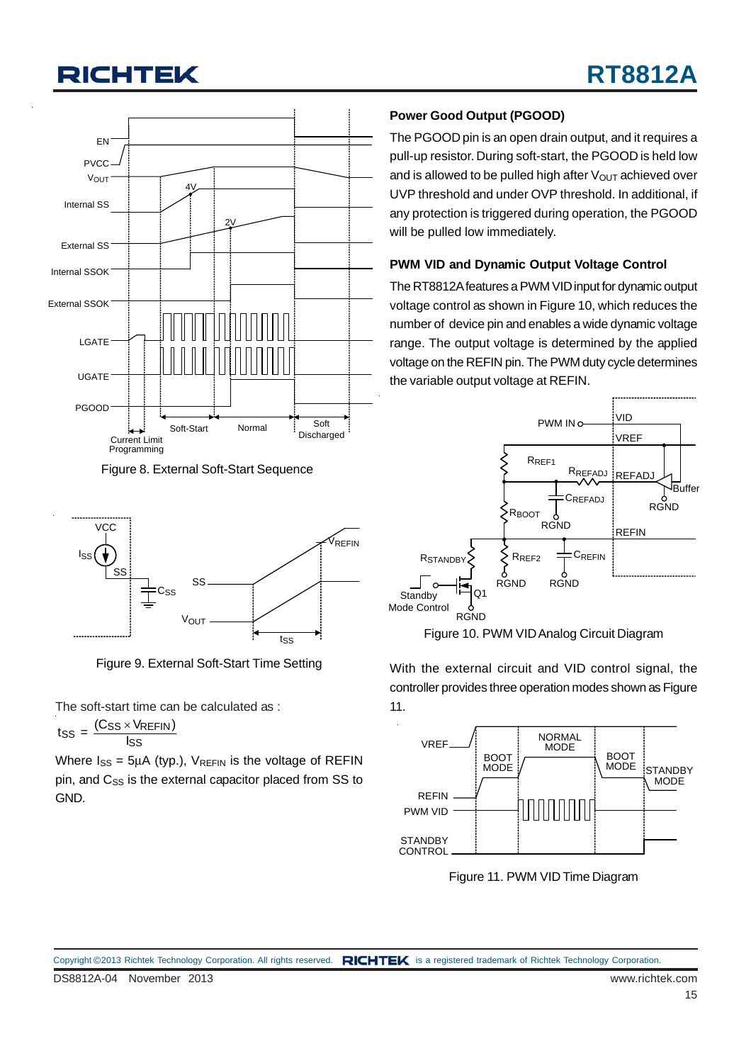

Figure 8. External Soft-Start Sequence



Figure 9. External Soft-Start Time Setting

The soft-start time can be calculated as :

$$
t_{SS} = \frac{(C_{SS} \times V_{REFIN})}{I_{SS}}
$$

Where  $I_{SS} = 5\mu A$  (typ.),  $V_{REFIN}$  is the voltage of REFIN pin, and C<sub>SS</sub> is the external capacitor placed from SS to GND.

#### **Power Good Output (PGOOD)**

The PGOOD pin is an open drain output, and it requires a pull-up resistor. During soft-start, the PGOOD is held low and is allowed to be pulled high after  $V_{\text{OUT}}$  achieved over UVP threshold and under OVP threshold. In additional, if any protection is triggered during operation, the PGOOD will be pulled low immediately.

#### **PWM VID and Dynamic Output Voltage Control**

The RT8812A features a PWM VID input for dynamic output voltage control as shown in Figure 10, which reduces the number of device pin and enables a wide dynamic voltage range. The output voltage is determined by the applied voltage on the REFIN pin. The PWM duty cycle determines the variable output voltage at REFIN.



Figure 10. PWM VID Analog Circuit Diagram

With the external circuit and VID control signal, the controller provides three operation modes shown as Figure 11.



Figure 11. PWM VID Time Diagram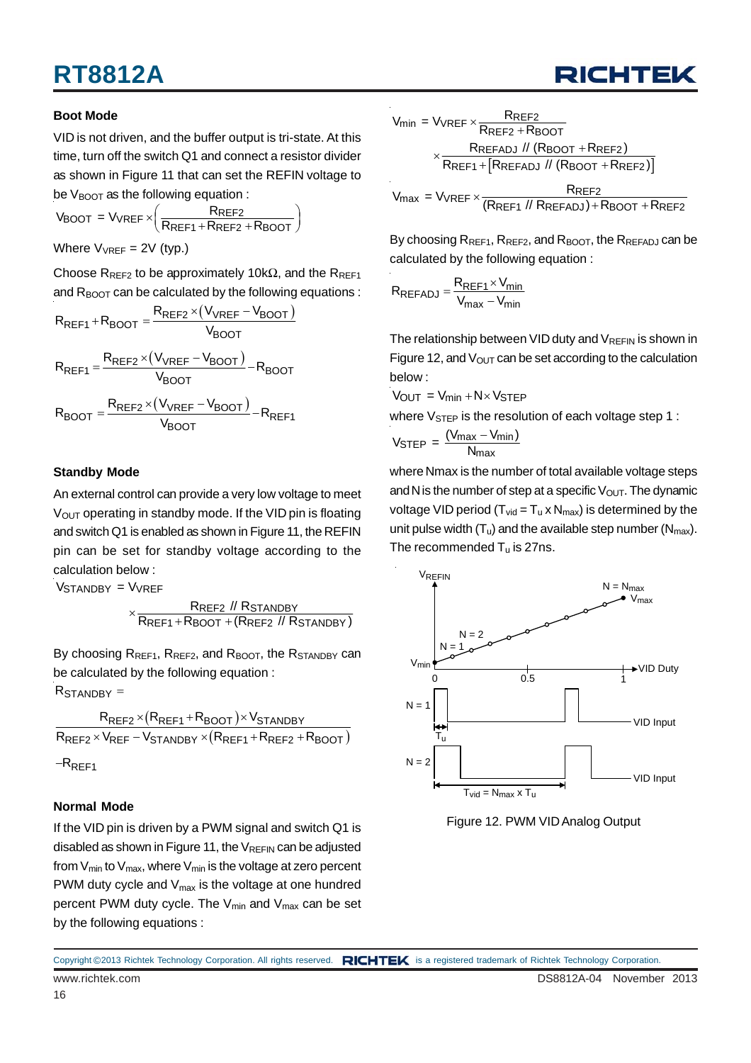#### **Boot Mode**

VID is not driven, and the buffer output is tri-state. At this time, turn off the switch Q1 and connect a resistor divider as shown in Figure 11 that can set the REFIN voltage to be  $V_{\text{BNOT}}$  as the following equation :

$$
V_{\text{BOOT}} = V_{\text{VREF}} \times \left(\frac{R_{\text{REF2}}}{R_{\text{REF1}} + R_{\text{REF2}} + R_{\text{BOOT}}}\right)
$$

Where  $V_{VREF} = 2V$  (typ.)

Choose R<sub>REF2</sub> to be approximately 10kΩ, and the R<sub>REF1</sub> and  $R_{\text{BOOT}}$  can be calculated by the following equations :

$$
R_{REF1} + R_{BOOT} = \frac{R_{REF2} \times (V_{VREF} - V_{BOOT})}{V_{BOOT}}
$$

$$
R_{REF1} = \frac{R_{REF2} \times (V_{VREF} - V_{BOOT})}{V_{BOOT}} - R_{BOOT}
$$

$$
R_{BOOT} = \frac{R_{REF2} \times (V_{VREF} - V_{BOOT})}{V_{BOOT}} - R_{REF1}
$$

#### **Standby Mode**

An external control can provide a very low voltage to meet  $V<sub>OUT</sub> operating in standard by mode. If the VID pin is floating$ and switch Q1 is enabled as shown in Figure 11, the REFIN pin can be set for standby voltage according to the calculation below :

Vstandby = Vvref

$$
\times \frac{\text{Rref2}\text{ // Rstandby}}{\text{Rref1+Rboot + (Rref2 \text{ // Rstandby})}}
$$

By choosing R<sub>REF1</sub>, R<sub>REF2</sub>, and R<sub>BOOT</sub>, the R<sub>STANDBY</sub> can be calculated by the following equation :

 $R_{STANDBY} =$ 

$$
\frac{R_{REF2} \times (R_{REF1} + R_{BOOT}) \times V_{STANDBY}}{R_{REF2} \times V_{REF} - V_{STANDBY} \times (R_{REF1} + R_{REF2} + R_{BOOT})}
$$
  
-R\_{REF1}

#### **Normal Mode**

If the VID pin is driven by a PWM signal and switch Q1 is disabled as shown in Figure 11, the  $V_{REFIN}$  can be adjusted from  $V_{min}$  to  $V_{max}$ , where  $V_{min}$  is the voltage at zero percent PWM duty cycle and  $V_{\text{max}}$  is the voltage at one hundred percent PWM duty cycle. The  $V_{min}$  and  $V_{max}$  can be set by the following equations :

$$
V_{min} = V_{VREF} \times \frac{R_{REF2}}{R_{REF2} + R_{BOOT}}
$$

$$
\times \frac{R_{REFADJ} / / (R_{BOOT} + R_{REF2})}{R_{REF1} + [R_{REFADJ} / / (R_{BOOT} + R_{REF2})]}
$$

 $V_{\text{max}} = V_{\text{VREF}} \times \frac{R_{\text{REF2}}}{(R_{\text{REF1}} \text{ // } R_{\text{REFADJ}}) + R_{\text{BOOT}} + R_{\text{REF2}}}$ 

By choosing  $R_{REF1}$ ,  $R_{REF2}$ , and  $R_{BOOT}$ , the  $R_{REFAD}$  can be calculated by the following equation :

$$
R_{REFADJ} = \frac{R_{REF1} \times V_{min}}{V_{max} - V_{min}}
$$

The relationship between VID duty and  $V_{RFFIN}$  is shown in Figure 12, and  $V_{\text{OUT}}$  can be set according to the calculation below :

 $V_{\text{OUT}} = V_{\text{min}} + N \times V_{\text{STFP}}$ 

where  $V_{\text{STEP}}$  is the resolution of each voltage step 1 :

$$
V_{\text{STEP}} = \frac{(V_{\text{max}} - V_{\text{min}})}{N_{\text{max}}}
$$

where Nmax is the number of total available voltage steps and N is the number of step at a specific  $V_{\text{OUT}}$ . The dynamic voltage VID period ( $T_{vid} = T_u \times N_{max}$ ) is determined by the unit pulse width  $(T_u)$  and the available step number  $(N_{max})$ . The recommended  $T_u$  is 27ns.



Figure 12. PWM VID Analog Output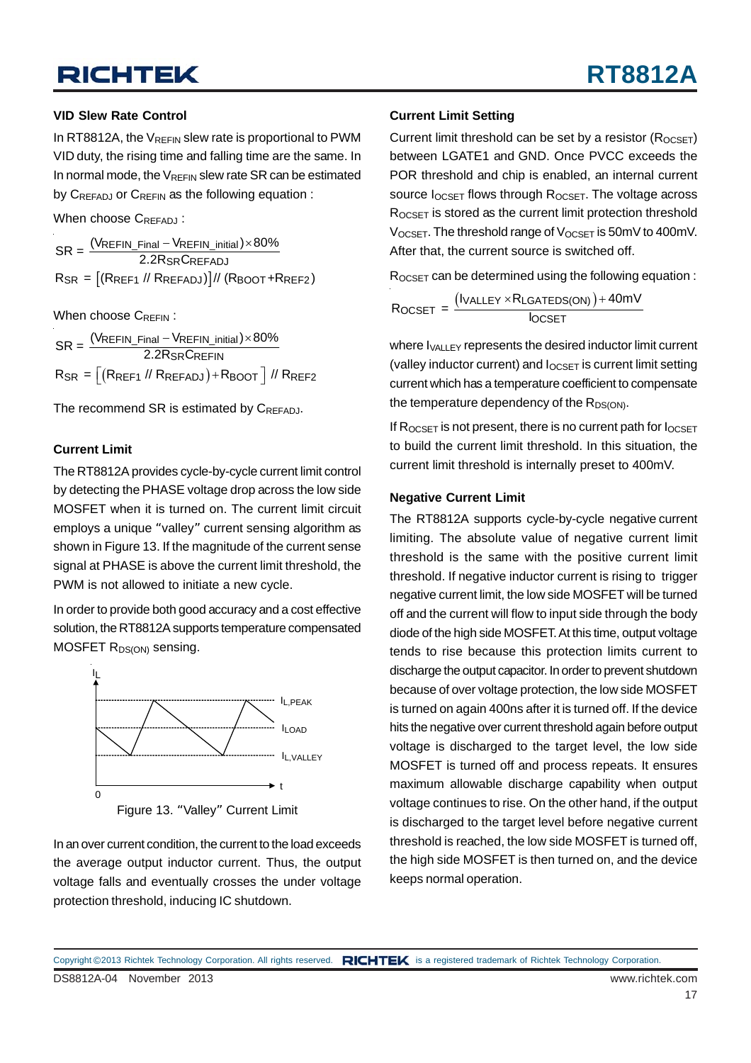#### **VID Slew Rate Control**

In RT8812A, the  $V_{REFIN}$  slew rate is proportional to PWM VID duty, the rising time and falling time are the same. In In normal mode, the  $V_{RFFIN}$  slew rate SR can be estimated by CREFADJ or CREFIN as the following equation :

When choose CREEADJ:

 $R_{\sf SR} = \left[\left(R_{\sf REF1} \; \text{/} \right \vert \; R_{\sf REFADJ} \right)] / \text{/} \left(R_{\sf BOOT} + R_{\sf REF2} \right)$ REFIN\_Final <sup>—</sup> VREFIN\_initial  $\mathsf{SR} = \frac{(\mathsf{V}\mathsf{REFIN\_Final} - \mathsf{V}\mathsf{REFIN\_initial}) \times 80\%}{2.2\mathsf{R}\mathsf{S}\mathsf{R}\mathsf{C}\mathsf{REFADJ}}$ 

When choose CREEIN:

(Rref1 // Rrefadj )  $-\mathsf{V}_{\mathsf{REFIN\ initial}}) \times$  $\left \lfloor \left (\mathsf{RREF1} \; \mathsf{//}\; \mathsf{RREFADJ} \right ) + \mathsf{RBOOT} \; \right \rfloor$ REFIN\_Final <sup>--</sup> VREFIN\_initial SRUREFIN SR = |(KREF1 // KREFADJ )+KBOOT | // KREF2  $\mathsf{SR} = \frac{(\mathsf{V}\mathsf{REFIN\_Final} - \mathsf{V}\mathsf{REFIN\_initial}) \times 80\%}{2.2\mathsf{R}\mathsf{S}\mathsf{R}\mathsf{C}\mathsf{REFIN}}$  $R_{\mathsf{S}\mathsf{R}} = |(R_{\mathsf{REF1}} \mathbin{N} R_{\mathsf{REFADJ}}) + R_{\mathsf{BOOT}} \mid \mathbin{N} R$ 

The recommend SR is estimated by CREEADJ.

#### **Current Limit**

The RT8812A provides cycle-by-cycle current limit control by detecting the PHASE voltage drop across the low side MOSFET when it is turned on. The current limit circuit employs a unique "valley" current sensing algorithm as shown in Figure 13. If the magnitude of the current sense signal at PHASE is above the current limit threshold, the PWM is not allowed to initiate a new cycle.

In order to provide both good accuracy and a cost effective solution, the RT8812A supports temperature compensated MOSFET R<sub>DS(ON)</sub> sensing.



Figure 13. "Valley" Current Limit

In an over current condition, the current to the load exceeds the average output inductor current. Thus, the output voltage falls and eventually crosses the under voltage protection threshold, inducing IC shutdown.

#### **Current Limit Setting**

Current limit threshold can be set by a resistor  $(R_{OCSFT})$ between LGATE1 and GND. Once PVCC exceeds the POR threshold and chip is enabled, an internal current source I<sub>OCSET</sub> flows through R<sub>OCSET</sub>. The voltage across ROCSET is stored as the current limit protection threshold  $V_{OCSFT}$ . The threshold range of  $V_{OCSFT}$  is 50mV to 400mV. After that, the current source is switched off.

 $R_{OCSFT}$  can be determined using the following equation :

$$
R_{OCSET} = \frac{(I_{VALLEY} \times R_{LGATEDS(ON)}) + 40mV}{I_{OCSET}}
$$

where  $I_{\text{VALLEY}}$  represents the desired inductor limit current (valley inductor current) and  $I_{OCSET}$  is current limit setting current which has a temperature coefficient to compensate the temperature dependency of the  $R_{DS(ON)}$ .

If  $R_{OCSFT}$  is not present, there is no current path for  $I_{OCSFT}$ to build the current limit threshold. In this situation, the current limit threshold is internally preset to 400mV.

#### **Negative Current Limit**

The RT8812A supports cycle-by-cycle negative current limiting. The absolute value of negative current limit threshold is the same with the positive current limit threshold. If negative inductor current is rising to trigger negative current limit, the low side MOSFET will be turned off and the current will flow to input side through the body diode of the high side MOSFET. At this time, output voltage tends to rise because this protection limits current to discharge the output capacitor. In order to prevent shutdown because of over voltage protection, the low side MOSFET is turned on again 400ns after it is turned off. If the device hits the negative over current threshold again before output voltage is discharged to the target level, the low side MOSFET is turned off and process repeats. It ensures maximum allowable discharge capability when output voltage continues to rise. On the other hand, if the output is discharged to the target level before negative current threshold is reached, the low side MOSFET is turned off, the high side MOSFET is then turned on, and the device keeps normal operation.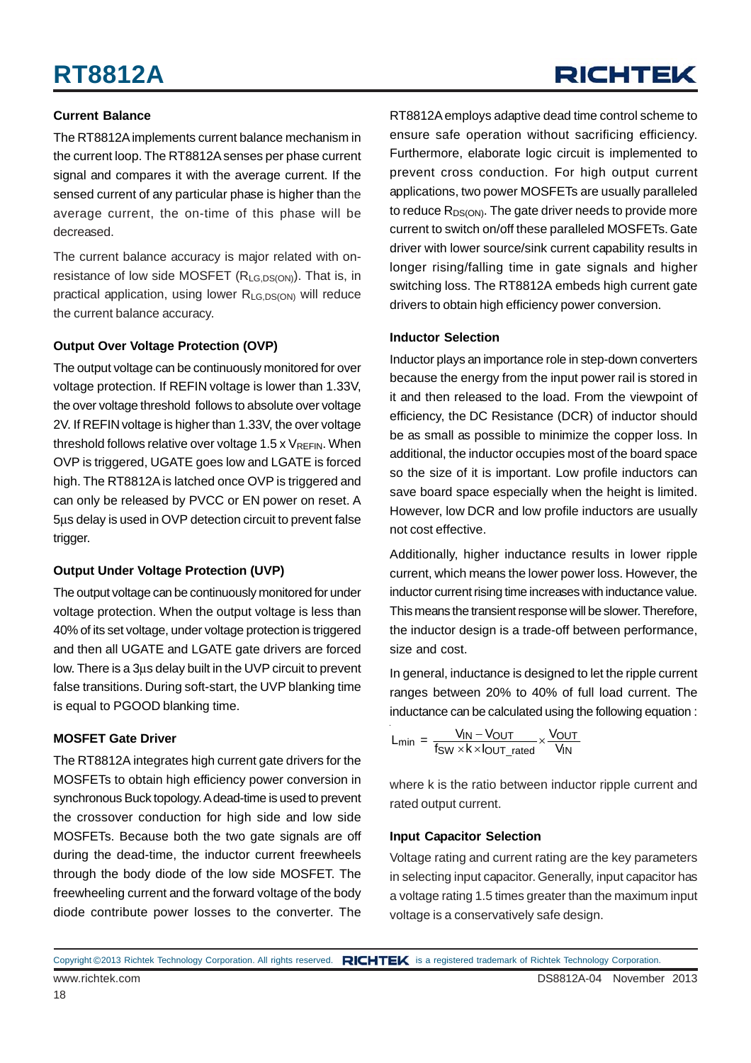#### **Current Balance**

The RT8812A implements current balance mechanism in the current loop. The RT8812A senses per phase current signal and compares it with the average current. If the sensed current of any particular phase is higher than the average current, the on-time of this phase will be decreased.

The current balance accuracy is major related with onresistance of low side MOSFET  $(R<sub>LG,DS(ON)</sub>)$ . That is, in practical application, using lower R<sub>LG,DS(ON)</sub> will reduce the current balance accuracy.

#### **Output Over Voltage Protection (OVP)**

The output voltage can be continuously monitored for over voltage protection. If REFIN voltage is lower than 1.33V, the over voltage threshold follows to absolute over voltage 2V. If REFIN voltage is higher than 1.33V, the over voltage threshold follows relative over voltage 1.5 x  $V_{REFIN}$ . When OVP is triggered, UGATE goes low and LGATE is forced high. The RT8812A is latched once OVP is triggered and can only be released by PVCC or EN power on reset. A 5μs delay is used in OVP detection circuit to prevent false trigger.

#### **Output Under Voltage Protection (UVP)**

The output voltage can be continuously monitored for under voltage protection. When the output voltage is less than 40% of its set voltage, under voltage protection is triggered and then all UGATE and LGATE gate drivers are forced low. There is a 3μs delay built in the UVP circuit to prevent false transitions. During soft-start, the UVP blanking time is equal to PGOOD blanking time.

#### **MOSFET Gate Driver**

The RT8812A integrates high current gate drivers for the MOSFETs to obtain high efficiency power conversion in synchronous Buck topology. A dead-time is used to prevent the crossover conduction for high side and low side MOSFETs. Because both the two gate signals are off during the dead-time, the inductor current freewheels through the body diode of the low side MOSFET. The freewheeling current and the forward voltage of the body diode contribute power losses to the converter. The

RT8812A employs adaptive dead time control scheme to ensure safe operation without sacrificing efficiency. Furthermore, elaborate logic circuit is implemented to prevent cross conduction. For high output current applications, two power MOSFETs are usually paralleled to reduce  $R_{DS(ON)}$ . The gate driver needs to provide more current to switch on/off these paralleled MOSFETs. Gate driver with lower source/sink current capability results in longer rising/falling time in gate signals and higher switching loss. The RT8812A embeds high current gate drivers to obtain high efficiency power conversion.

#### **Inductor Selection**

Inductor plays an importance role in step-down converters because the energy from the input power rail is stored in it and then released to the load. From the viewpoint of efficiency, the DC Resistance (DCR) of inductor should be as small as possible to minimize the copper loss. In additional, the inductor occupies most of the board space so the size of it is important. Low profile inductors can save board space especially when the height is limited. However, low DCR and low profile inductors are usually not cost effective.

Additionally, higher inductance results in lower ripple current, which means the lower power loss. However, the inductor current rising time increases with inductance value. This means the transient response will be slower. Therefore, the inductor design is a trade-off between performance. size and cost.

In general, inductance is designed to let the ripple current ranges between 20% to 40% of full load current. The inductance can be calculated using the following equation :

$$
L_{min} = \frac{V_{IN} - V_{OUT}}{f_{SW} \times k \times I_{OUT\_rated}} \times \frac{V_{OUT}}{V_{IN}}
$$

where k is the ratio between inductor ripple current and rated output current.

#### **Input Capacitor Selection**

Voltage rating and current rating are the key parameters in selecting input capacitor. Generally, input capacitor has a voltage rating 1.5 times greater than the maximum input voltage is a conservatively safe design.

www.richtek.com DS8812A-04 November 2013 Copyright ©2013 Richtek Technology Corporation. All rights reserved. RICHTEK is a registered trademark of Richtek Technology Corporation.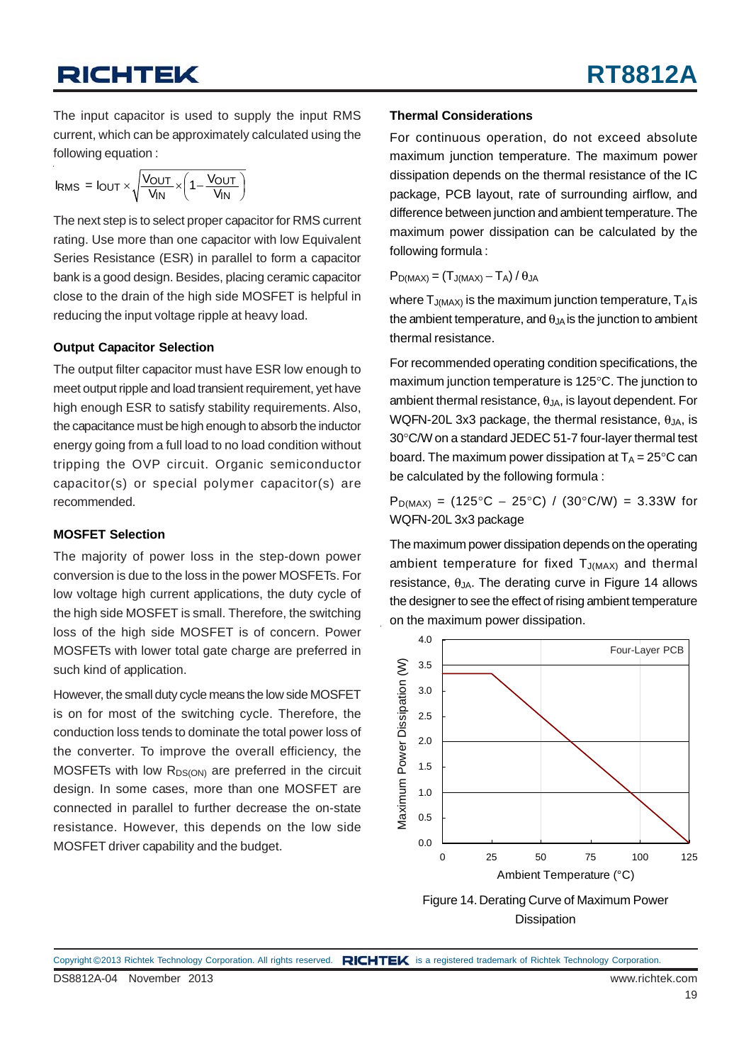The input capacitor is used to supply the input RMS current, which can be approximately calculated using the following equation :

$$
I_{RMS} = I_{OUT} \times \sqrt{\frac{V_{OUT}}{V_{IN}}} \times \left(1 - \frac{V_{OUT}}{V_{IN}}\right)
$$

The next step is to select proper capacitor for RMS current rating. Use more than one capacitor with low Equivalent Series Resistance (ESR) in parallel to form a capacitor bank is a good design. Besides, placing ceramic capacitor close to the drain of the high side MOSFET is helpful in reducing the input voltage ripple at heavy load.

#### **Output Capacitor Selection**

The output filter capacitor must have ESR low enough to meet output ripple and load transient requirement, yet have high enough ESR to satisfy stability requirements. Also, the capacitance must be high enough to absorb the inductor energy going from a full load to no load condition without tripping the OVP circuit. Organic semiconductor capacitor(s) or special polymer capacitor(s) are recommended.

#### **MOSFET Selection**

The majority of power loss in the step-down power conversion is due to the loss in the power MOSFETs. For low voltage high current applications, the duty cycle of the high side MOSFET is small. Therefore, the switching loss of the high side MOSFET is of concern. Power MOSFETs with lower total gate charge are preferred in such kind of application.

However, the small duty cycle means the low side MOSFET is on for most of the switching cycle. Therefore, the conduction loss tends to dominate the total power loss of the converter. To improve the overall efficiency, the MOSFETs with low  $R_{DS(ON)}$  are preferred in the circuit design. In some cases, more than one MOSFET are connected in parallel to further decrease the on-state resistance. However, this depends on the low side MOSFET driver capability and the budget.

#### **Thermal Considerations**

For continuous operation, do not exceed absolute maximum junction temperature. The maximum power dissipation depends on the thermal resistance of the IC package, PCB layout, rate of surrounding airflow, and difference between junction and ambient temperature. The maximum power dissipation can be calculated by the following formula :

 $P_{D(MAX)} = (T_{J(MAX)} - T_A)/\theta_{JA}$ 

where  $T_{J(MAX)}$  is the maximum junction temperature,  $T_A$  is the ambient temperature, and  $\theta_{JA}$  is the junction to ambient thermal resistance.

For recommended operating condition specifications, the maximum junction temperature is 125°C. The junction to ambient thermal resistance,  $\theta_{JA}$ , is layout dependent. For WQFN-20L 3x3 package, the thermal resistance,  $\theta_{JA}$ , is 30°C/W on a standard JEDEC 51-7 four-layer thermal test board. The maximum power dissipation at  $T_A = 25^{\circ}C$  can be calculated by the following formula :

 $P_{D(MAX)} = (125\degree C - 25\degree C) / (30\degree C/W) = 3.33W$  for WQFN-20L 3x3 package

The maximum power dissipation depends on the operating ambient temperature for fixed  $T_{J(MAX)}$  and thermal resistance,  $\theta_{JA}$ . The derating curve in Figure 14 allows the designer to see the effect of rising ambient temperature on the maximum power dissipation.





DS8812A-04 November 2013 www.richtek.com Copyright ©2013 Richtek Technology Corporation. All rights reserved. RICHTEK is a registered trademark of Richtek Technology Corporation.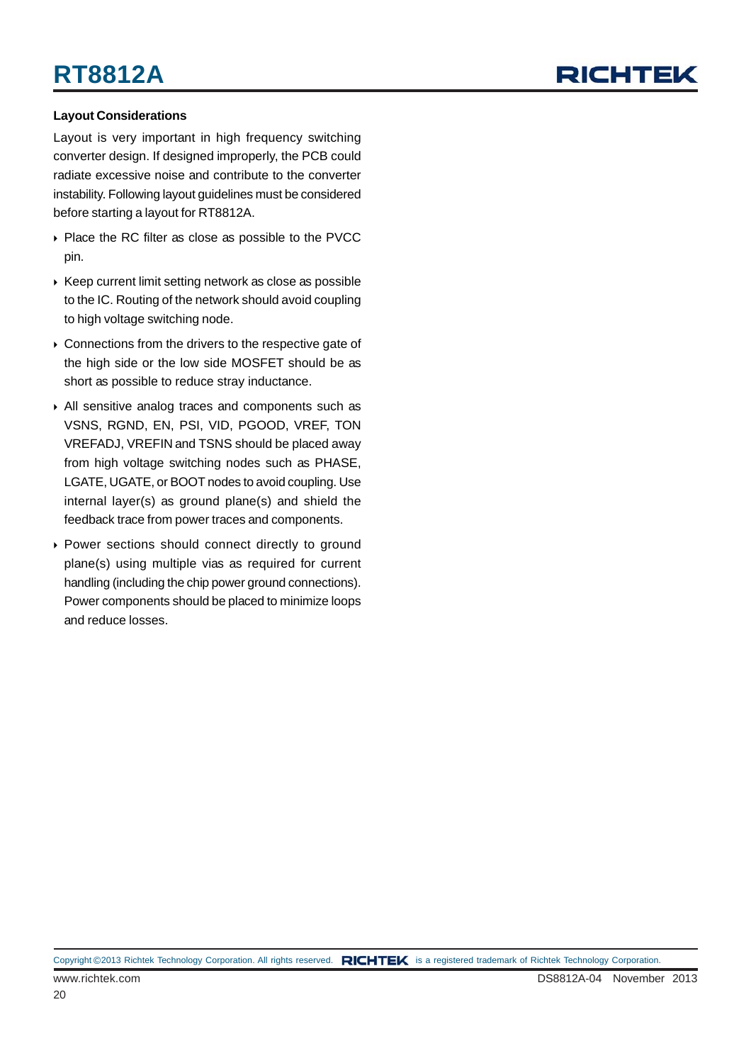## RICHTEL

#### **Layout Considerations**

Layout is very important in high frequency switching converter design. If designed improperly, the PCB could radiate excessive noise and contribute to the converter instability. Following layout guidelines must be considered before starting a layout for RT8812A.

- ▶ Place the RC filter as close as possible to the PVCC pin.
- $\triangleright$  Keep current limit setting network as close as possible to the IC. Routing of the network should avoid coupling to high voltage switching node.
- ▶ Connections from the drivers to the respective gate of the high side or the low side MOSFET should be as short as possible to reduce stray inductance.
- All sensitive analog traces and components such as VSNS, RGND, EN, PSI, VID, PGOOD, VREF, TON VREFADJ, VREFIN and TSNS should be placed away from high voltage switching nodes such as PHASE, LGATE, UGATE, or BOOT nodes to avoid coupling. Use internal layer(s) as ground plane(s) and shield the feedback trace from power traces and components.
- Power sections should connect directly to ground plane(s) using multiple vias as required for current handling (including the chip power ground connections). Power components should be placed to minimize loops and reduce losses.